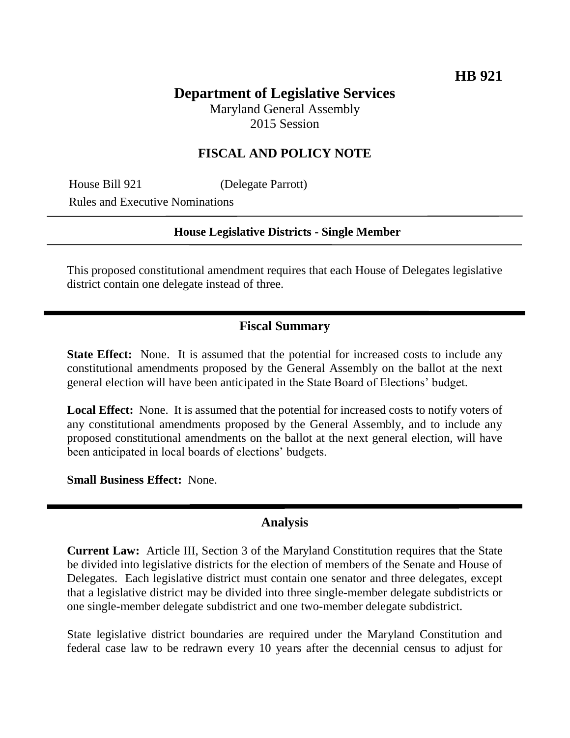# **Department of Legislative Services**

Maryland General Assembly 2015 Session

## **FISCAL AND POLICY NOTE**

House Bill 921 (Delegate Parrott) Rules and Executive Nominations

#### **House Legislative Districts - Single Member**

This proposed constitutional amendment requires that each House of Delegates legislative district contain one delegate instead of three.

### **Fiscal Summary**

**State Effect:** None. It is assumed that the potential for increased costs to include any constitutional amendments proposed by the General Assembly on the ballot at the next general election will have been anticipated in the State Board of Elections' budget.

**Local Effect:** None. It is assumed that the potential for increased costs to notify voters of any constitutional amendments proposed by the General Assembly, and to include any proposed constitutional amendments on the ballot at the next general election, will have been anticipated in local boards of elections' budgets.

**Small Business Effect:** None.

#### **Analysis**

**Current Law:** Article III, Section 3 of the Maryland Constitution requires that the State be divided into legislative districts for the election of members of the Senate and House of Delegates. Each legislative district must contain one senator and three delegates, except that a legislative district may be divided into three single-member delegate subdistricts or one single-member delegate subdistrict and one two-member delegate subdistrict.

State legislative district boundaries are required under the Maryland Constitution and federal case law to be redrawn every 10 years after the decennial census to adjust for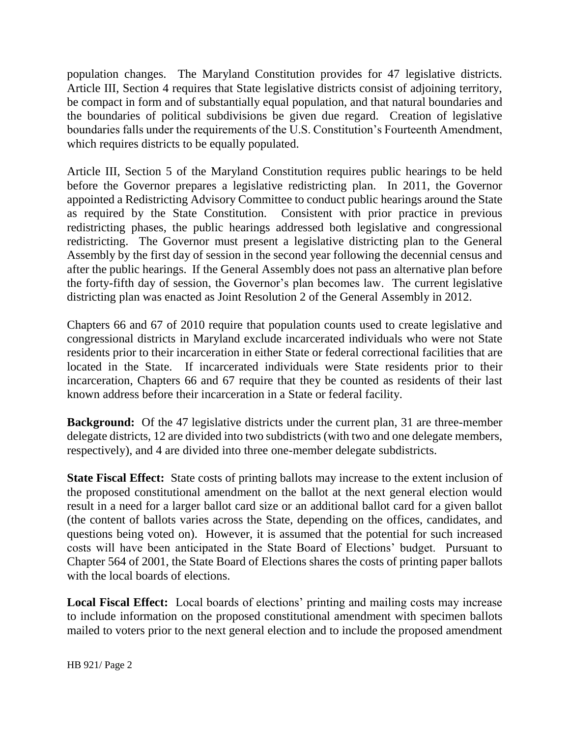population changes. The Maryland Constitution provides for 47 legislative districts. Article III, Section 4 requires that State legislative districts consist of adjoining territory, be compact in form and of substantially equal population, and that natural boundaries and the boundaries of political subdivisions be given due regard. Creation of legislative boundaries falls under the requirements of the U.S. Constitution's Fourteenth Amendment, which requires districts to be equally populated.

Article III, Section 5 of the Maryland Constitution requires public hearings to be held before the Governor prepares a legislative redistricting plan. In 2011, the Governor appointed a Redistricting Advisory Committee to conduct public hearings around the State as required by the State Constitution. Consistent with prior practice in previous redistricting phases, the public hearings addressed both legislative and congressional redistricting. The Governor must present a legislative districting plan to the General Assembly by the first day of session in the second year following the decennial census and after the public hearings. If the General Assembly does not pass an alternative plan before the forty-fifth day of session, the Governor's plan becomes law. The current legislative districting plan was enacted as Joint Resolution 2 of the General Assembly in 2012.

Chapters 66 and 67 of 2010 require that population counts used to create legislative and congressional districts in Maryland exclude incarcerated individuals who were not State residents prior to their incarceration in either State or federal correctional facilities that are located in the State. If incarcerated individuals were State residents prior to their incarceration, Chapters 66 and 67 require that they be counted as residents of their last known address before their incarceration in a State or federal facility.

**Background:** Of the 47 legislative districts under the current plan, 31 are three-member delegate districts, 12 are divided into two subdistricts (with two and one delegate members, respectively), and 4 are divided into three one-member delegate subdistricts.

**State Fiscal Effect:** State costs of printing ballots may increase to the extent inclusion of the proposed constitutional amendment on the ballot at the next general election would result in a need for a larger ballot card size or an additional ballot card for a given ballot (the content of ballots varies across the State, depending on the offices, candidates, and questions being voted on). However, it is assumed that the potential for such increased costs will have been anticipated in the State Board of Elections' budget. Pursuant to Chapter 564 of 2001, the State Board of Elections shares the costs of printing paper ballots with the local boards of elections.

**Local Fiscal Effect:** Local boards of elections' printing and mailing costs may increase to include information on the proposed constitutional amendment with specimen ballots mailed to voters prior to the next general election and to include the proposed amendment